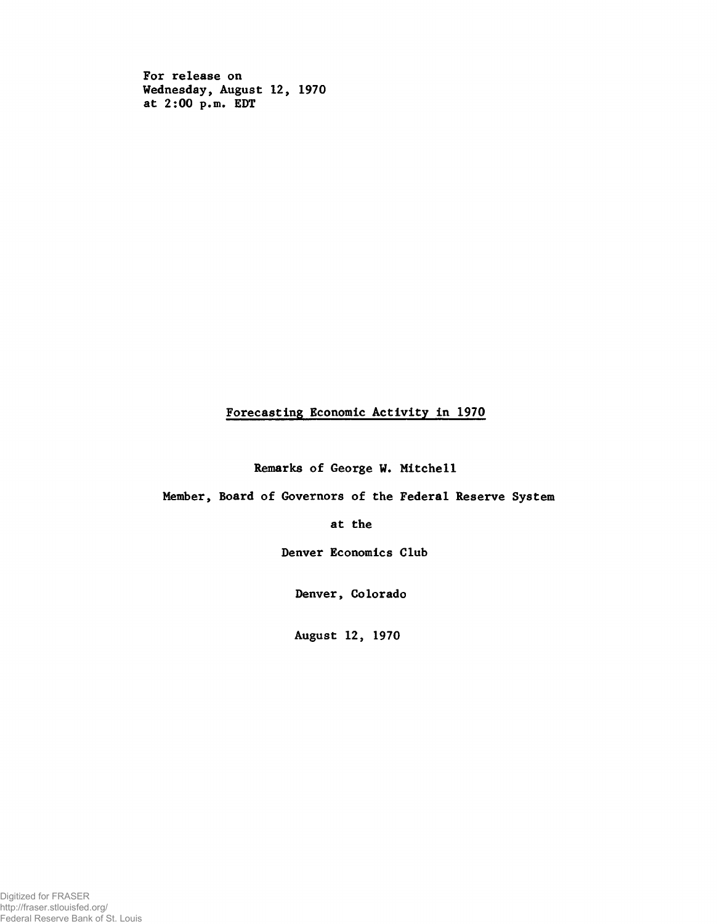For release on Wednesday, August 12, 1970 at 2:00 p.m. EDT

## Forecasting Economic Activity in 1970

Remarks of George W. Mitchell

Member, Board of Governors of the Federal Reserve System

at the

Denver Economics Club

Denver, Colorado

August 12, 1970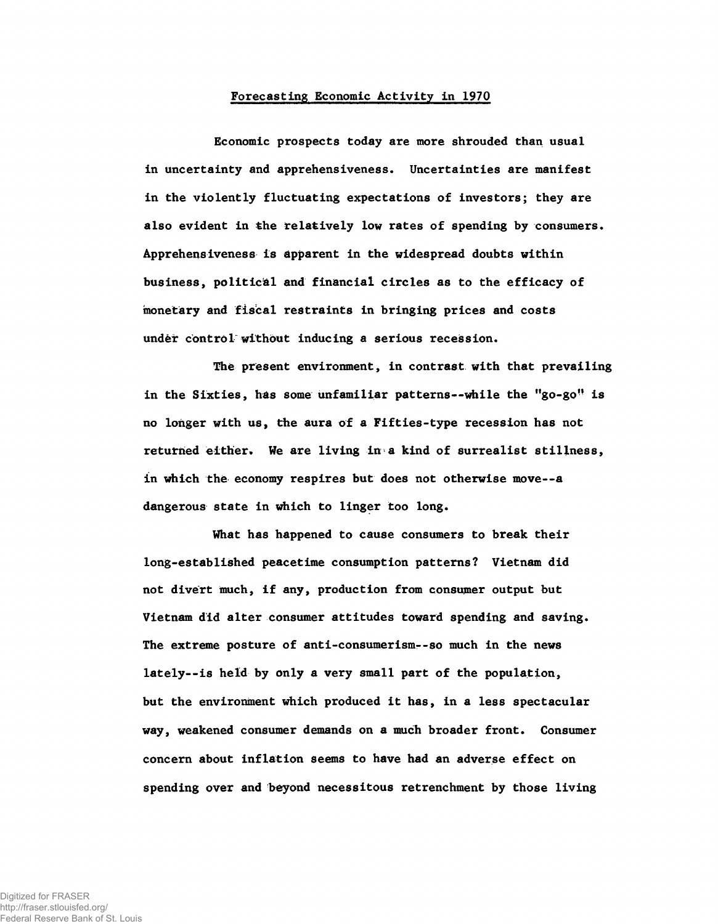## Forecasting Economic Activity in 1970

Economic prospects today are more shrouded than usual in uncertainty and apprehensiveness. Uncertainties are manifest in the violently fluctuating expectations of investors; they are also evident in the relatively low rates of spending by consumers. Apprehensiveness is apparent in the widespread doubts within business, political and financial circles as to the efficacy of monetiary and fiscal restraints in bringing prices and costs under control without inducing a serious recession.

The present environment, in contrast with that prevailing in the Sixties, has some unfamiliar patterns--while the "go-go" is no longer with us, the aura of a Fifties-type recession has not returned either. We are living in a kind of surrealist stillness, in which the economy respires but does not otherwise move--a dangerous state in which to linger too long.

What has happened to cause consumers to break their long-established peacetime consumption patterns? Vietnam did not divert much, if any, production from consumer output but Vietnam did alter consumer attitudes toward spending and saving. The extreme posture of anti-consumerism--so much in the news lately— is held by only a very small part of the population, but the environment which produced it has, in a less spectacular way, weakened consumer demands on a much broader front. Consumer concern about inflation seems to have had an adverse effect on spending over and beyond necessitous retrenchment by those living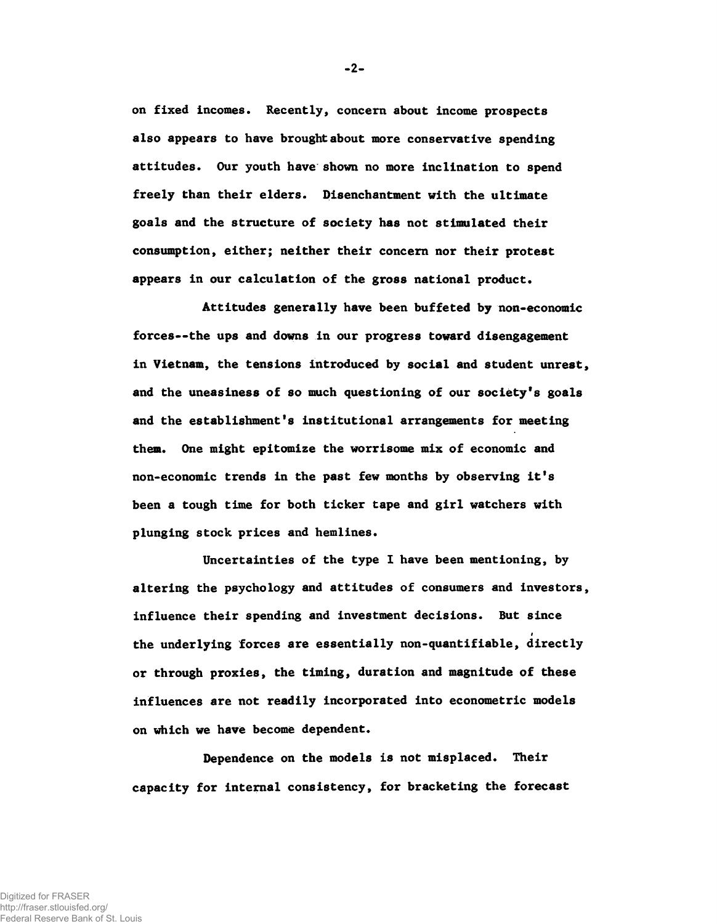on fixed incomes. Recently, concern about income prospects also appears to have brought about more conservative spending attitudes. Our youth have' shown no more inclination to spend freely than their elders. Disenchantment with the ultimate goals and the structure of society has not stimulated their consumption, either; neither their concern nor their protest appears in our calculation of the gross national product.

Attitudes generally have been buffeted by non-economic forces— the ups and downs in our progress toward disengagement in Vietnam, the tensions introduced by social and student unrest, and the uneasiness of so much questioning of our society's goals and the establishment's institutional arrangements for meeting them. One might epitomize the worrisome mix of economic and non-economic trends in the past few months by observing it's been a tough time for both ticker tape and girl watchers with plunging stock prices and hemlines.

Uncertainties of the type I have been mentioning, by altering the psychology and attitudes of consumers and investors, influence their spending and investment decisions. But since the underlying forces are essentially non-quantifiable, directly or through proxies, the timing, duration and magnitude of these influences are not readily incorporated into econometric models on which we have become dependent.

Dependence on the models is not misplaced. Their capacity for internal consistency, for bracketing the forecast

-2-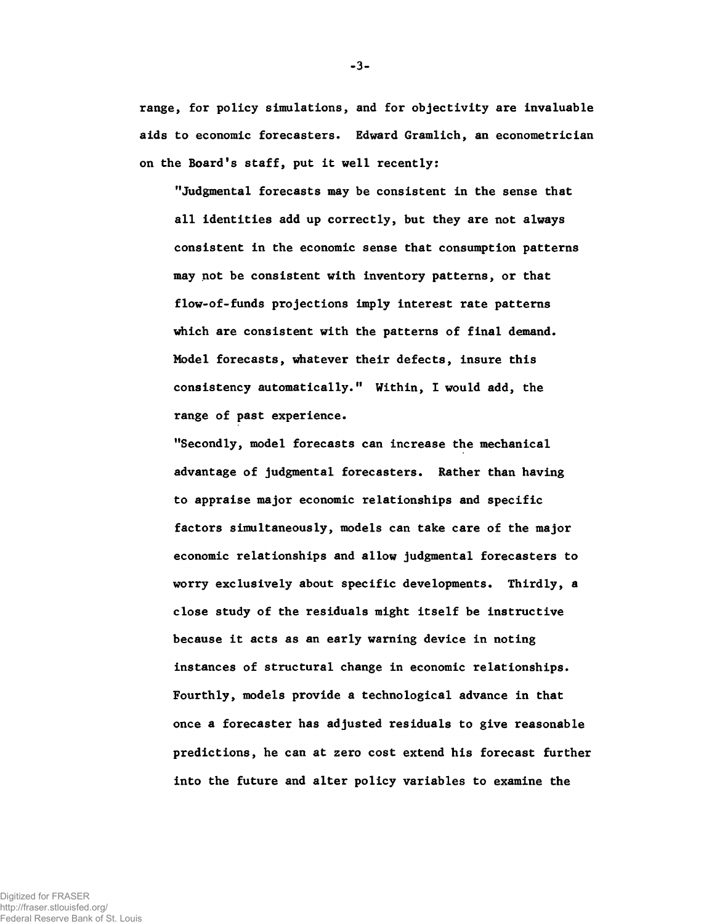range, for policy simulations, and for objectivity are invaluable aids to economic forecasters. Edward Gramlich, an econometrician on the Board's staff, put it well recently:

"Judgmental forecasts may be consistent in the sense that all identities add up correctly, but they are not always consistent in the economic sense that consumption patterns may not be consistent with inventory patterns, or that flow-of-funds projections imply interest rate patterns which are consistent with the patterns of final demand. Model forecasts, whatever their defects, insure this consistency automatically." Within, I would add, the range of past experience.

"Secondly, model forecasts can increase the mechanical advantage of judgmental forecasters. Rather than having to appraise major economic relationships and specific factors simultaneously, models can take care of the major economic relationships and allow judgmental forecasters to worry exclusively about specific developments. Thirdly, a close study of the residuals might itself be instructive because it acts as an early warning device in noting instances of structural change in economic relationships. Fourthly, models provide a technological advance in that once a forecaster has adjusted residuals to give reasonable predictions, he can at zero cost extend his forecast further into the future and alter policy variables to examine the

Digitized for FRASER http://fraser.stlouisfed.org/ Federal Reserve Bank of St. Louis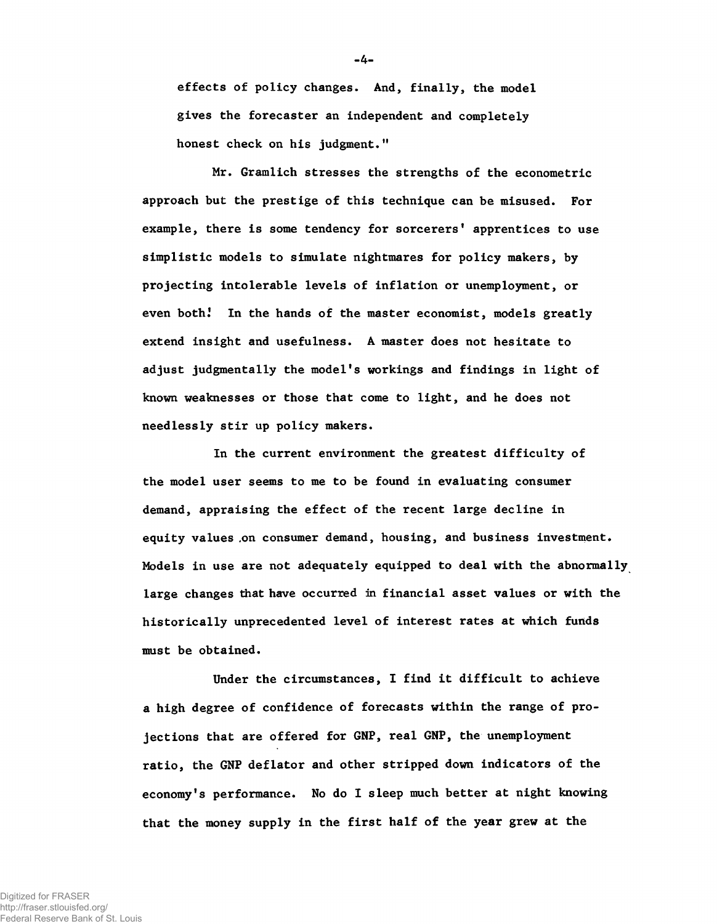effects of policy changes. And, finally, the model gives the forecaster an independent and completely honest check on his judgment."

Mr. Gramlich stresses the strengths of the econometric approach but the prestige of this technique can be misused. For example, there is some tendency for sorcerers' apprentices to use simplistic models to simulate nightmares for policy makers, by projecting intolerable levels of inflation or unemployment, or even both! In the hands of the master economist, models greatly extend insight and usefulness. A master does not hesitate to adjust judgmentally the model's workings and findings in light of known weaknesses or those that come to light, and he does not needlessly stir up policy makers.

In the current environment the greatest difficulty of the model user seems to me to be found in evaluating consumer demand, appraising the effect of the recent large decline in equity values .on consumer demand, housing, and business investment. Models in use are not adequately equipped to deal with the abnormally large changes that have occurred in financial asset values or with the historically unprecedented level of interest rates at which funds must be obtained.

Under the circumstances, I find it difficult to achieve a high degree of confidence of forecasts within the range of projections that are offered for GNP, real GNP, the unemployment ratio, the GNP deflator and other stripped down indicators of the economy's performance. No do I sleep much better at night knowing that the money supply in the first half of the year grew at the

Digitized for FRASER http://fraser.stlouisfed.org/ Federal Reserve Bank of St. Louis -4-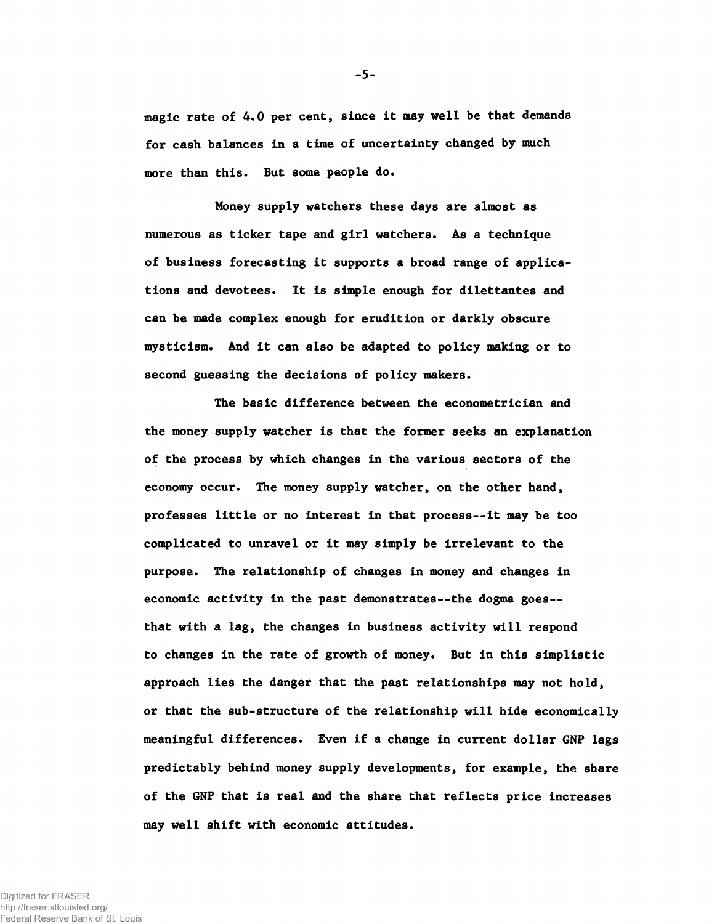magic rate of 4.0 per cent, since it may well be that demands for cash balances in a time of uncertainty changed by much more than this. But some people do.

Money supply watchers these days are almost as numerous as ticker tape and girl watchers. As a technique of business forecasting it supports a broad range of applications and devotees. It is simple enough for dilettantes and can be made complex enough for erudition or darkly obscure mysticism. And it can also be adapted to policy making or to second guessing the decisions of policy makers.

The basic difference between the econometrician and the money supply watcher is that the former seeks an explanation of the process by which changes in the various sectors of the economy occur. The money supply watcher, on the other hand, professes little or no interest in that process— it may be too complicated to unravel or it may simply be irrelevant to the purpose. The relationship of changes in money and changes in economic activity in the past demonstrates— the dogma goes- that with a lag, the changes in business activity will respond to changes in the rate of growth of money. But in this simplistic approach lies the danger that the past relationships may not hold, or that the sub-structure of the relationship will hide economically meaningful differences. Even if a change in current dollar GNP lags predictably behind money supply developments, for example, the share of the GNP that is real and the share that reflects price increases may well shift with economic attitudes.

-5-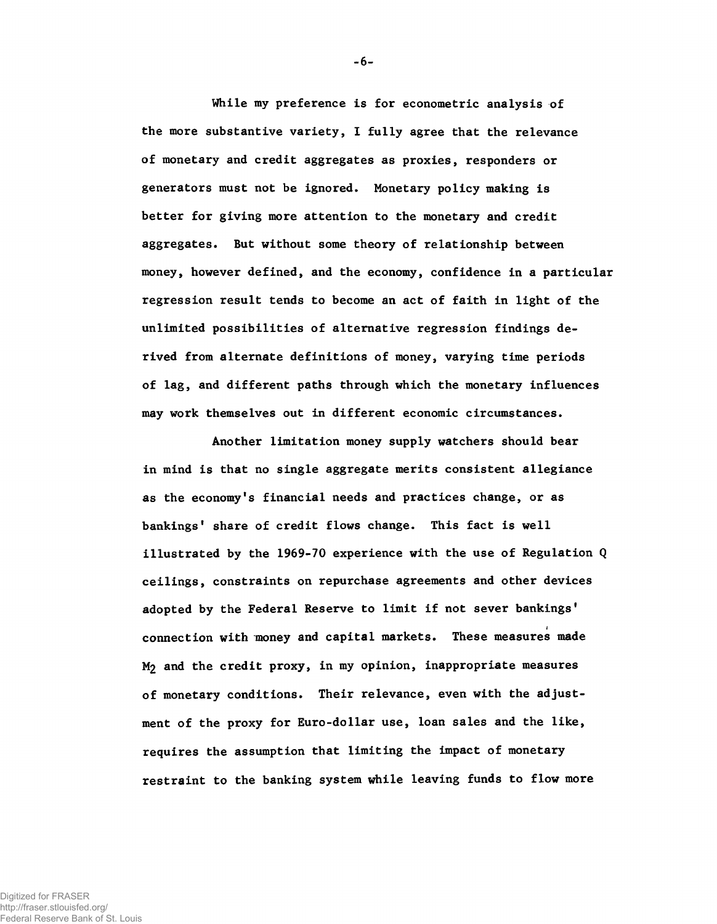While my preference is for econometric analysis of the more substantive variety, I fully agree that the relevance of monetary and credit aggregates as proxies, responders or generators must not be ignored. Monetary policy making is better for giving more attention to the monetary and credit aggregates. But without some theory of relationship between money, however defined, and the economy, confidence in a particular regression result tends to become an act of faith in light of the unlimited possibilities of alternative regression findings derived from alternate definitions of money, varying time periods of lag, and different paths through which the monetary influences may work themselves out in different economic circumstances.

Another limitation money supply watchers should bear in mind is that no single aggregate merits consistent allegiance as the economy's financial needs and practices change, or as bankings' share of credit flows change. This fact is well illustrated by the 1969-70 experience with the use of Regulation Q ceilings, constraints on repurchase agreements and other devices adopted by the Federal Reserve to limit if not sever bankings' connection with money and capital markets. These measures made M**2** and the credit proxy, in my opinion, inappropriate measures of monetary conditions. Their relevance, even with the adjustment of the proxy for Euro-dollar use, loan sales and the like, requires the assumption that limiting the impact of monetary restraint to the banking system while leaving funds to flow more

-6-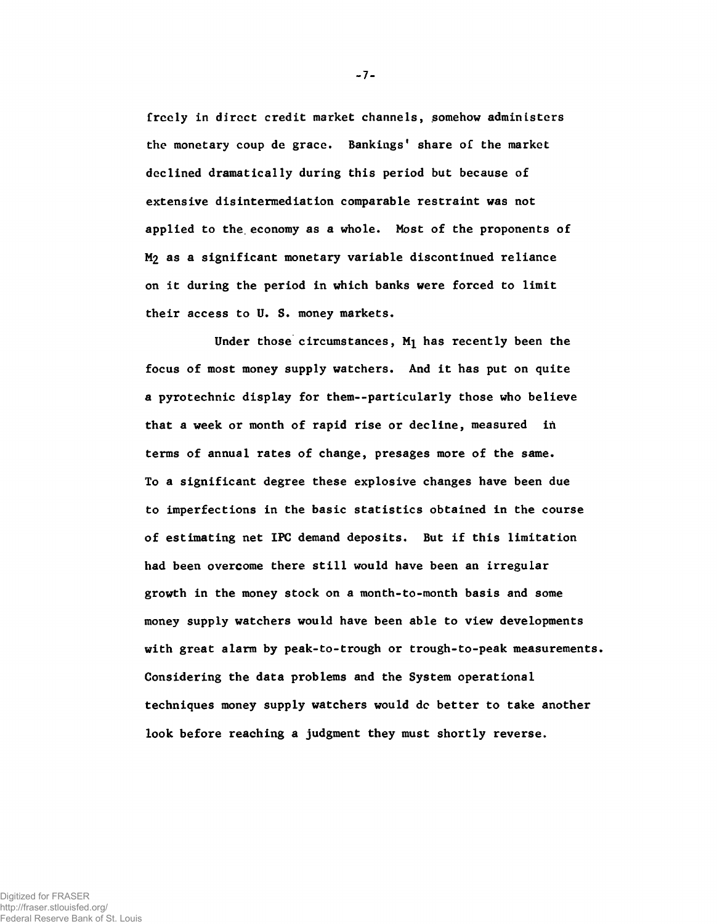freely in dircct credit market channels, somehow administers the monetary coup de grace. Bankings' share of the market declined dramatically during this period but because of extensive disintermediation comparable restraint was not applied to the economy as a whole. Most of the proponents of M¿ as a significant monetary variable discontinued reliance on it during the period in which banks were forced to limit their access to U. S. money markets.

Under those circumstances,  $M_1$  has recently been the focus of most money supply watchers. And it has put on quite a pyrotechnic display for them— particularly those who believe that a week or month of rapid rise or decline, measured in terms of annual rates of change, presages more of the same. To a significant degree these explosive changes have been due to imperfections in the basic statistics obtained in the course of estimating net 1PC demand deposits. But if this limitation had been overcome there still would have been an irregular growth in the money stock on a month-to-month basis and some money supply watchers would have been able to view developments with great alarm by peak-to-trough or trough-to-peak measurements. Considering the data problems and the System operational techniques money supply watchers would dc better to take another look before reaching a judgment they must shortly reverse.

-7-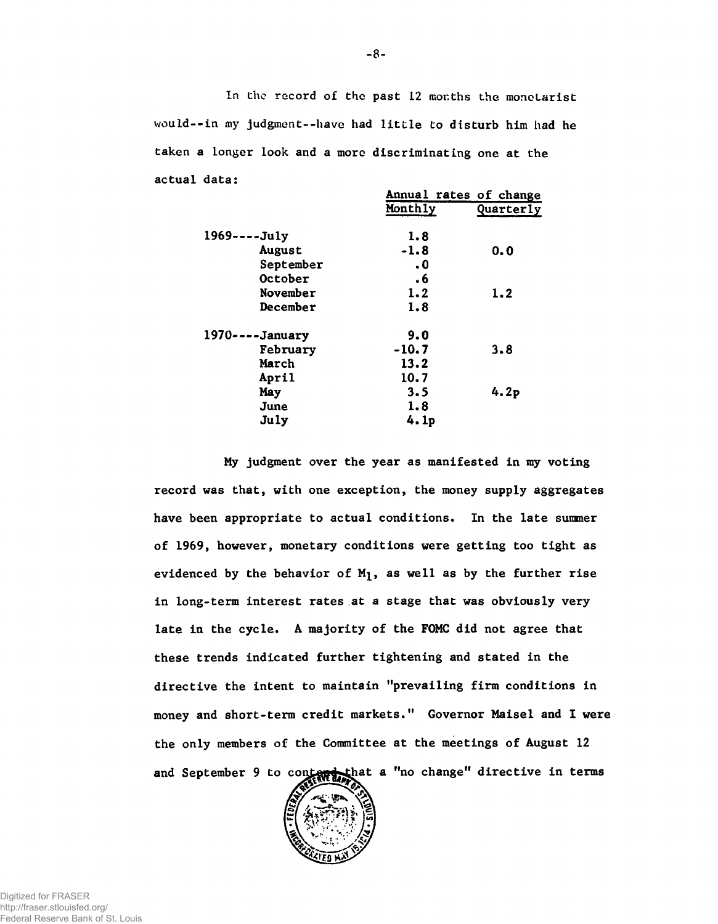In the record of the past 12 months the monetarist would--in my judgment--have had little to disturb him had he taken a longer look and a more discriminating one at the actual data:

|                   | Annual rates of change |           |
|-------------------|------------------------|-----------|
|                   | Monthly                | Quarterly |
| $1969 - - -$ July |                        |           |
|                   | 1.8                    |           |
| August            | $-1.8$                 | 0.0       |
| September         | $\cdot$ 0              |           |
| <b>October</b>    | $\cdot 6$              |           |
| November          | 1.2                    | 1.2       |
| December          | 1.8                    |           |
| $1970---January$  | 9.0                    |           |
| February          | $-10.7$                | 3.8       |
| March             | 13.2                   |           |
| April             | 10.7                   |           |
| May               | 3.5                    | 4.2p      |
| June              | 1.8                    |           |
| July              | 4.1p                   |           |
|                   |                        |           |

My judgment over the year as manifested in my voting record was that, with one exception, the money supply aggregates have been appropriate to actual conditions. In the late summer of 1969, however, monetary conditions were getting too tight as evidenced by the behavior of  $M_1$ , as well as by the further rise in long-term interest rates at a stage that was obviously very late in the cycle. A majority of the FOMC did not agree that these trends indicated further tightening and stated in the directive the intent to maintain "prevailing firm conditions in money and short-term credit markets." Governor Maisel and I were the only members of the Committee at the meetings of August 12 and September 9 to contempthat a "no change" directive in terms

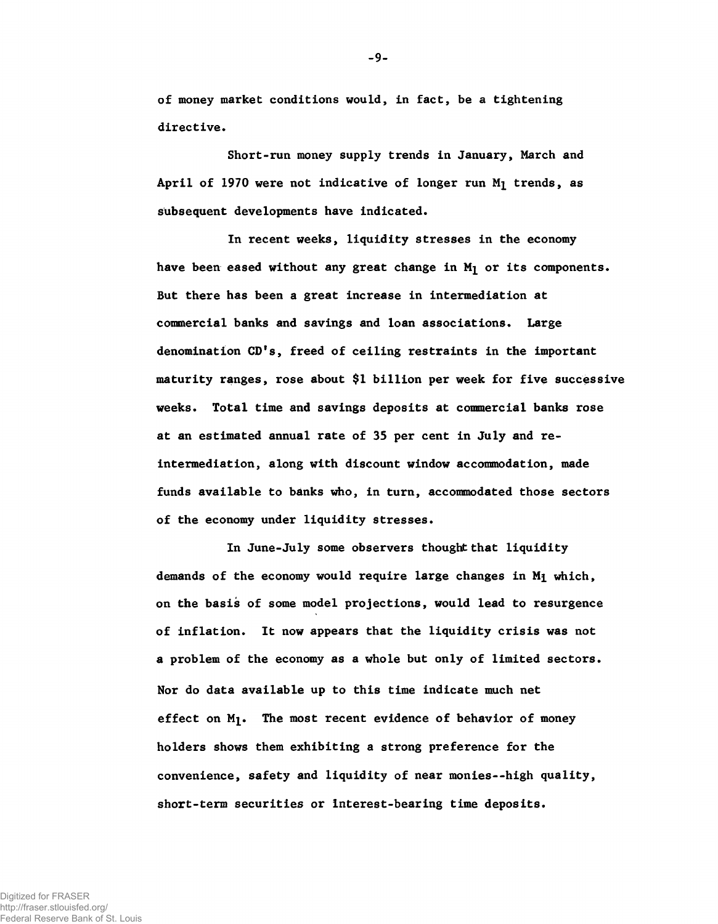of money market conditions would, in fact, be a tightening directive.

Short-run money supply trends in January, March and April of 1970 were not indicative of longer run  $M_1$  trends, as subsequent developments have indicated.

In recent weeks, liquidity stresses in the economy have been eased without any great change in  $M_1$  or its components. But there has been a great increase in intermediation at commercial banks and savings and loan associations. Large denomination CD's, freed of ceiling restraints in the important maturity ranges, rose about \$1 billion per week for five successive weeks. Total time and savings deposits at commercial banks rose at an estimated annual rate of 35 per cent in July and reintermediation, along with discount window accommodation, made funds available to banks who, in turn, accommodated those sectors of the economy under liquidity stresses.

In June-July some observers thought that liquidity demands of the economy would require large changes in Mi which, on the basis of some model projections, would lead to resurgence of inflation. It now appears that the liquidity crisis was not a problem of the economy as a whole but only of limited sectors. Nor do data available up to this time indicate much net effect on  $M_1$ . The most recent evidence of behavior of money holders shows them exhibiting a strong preference for the convenience, safety and liquidity of near monies— high quality, short-term securities or interest-bearing time deposits.

-9-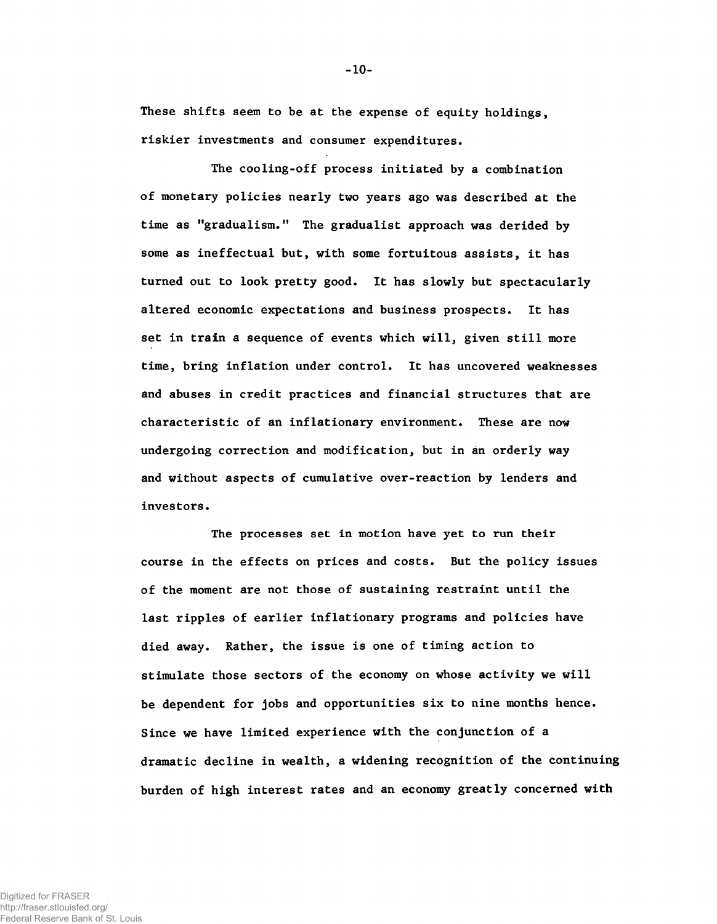These shifts seem to be at the expense of equity holdings, riskier investments and consumer expenditures.

The cooling-off process initiated by a combination of monetary policies nearly two years ago was described at the time as "gradualism." The gradualist approach was derided by some as ineffectual but, with some fortuitous assists, it has turned out to look pretty good. It has slowly but spectacularly altered economic expectations and business prospects. It has set in train a sequence of events which will, given still more time, bring inflation under control. It has uncovered weaknesses and abuses in credit practices and financial structures that are characteristic of an inflationary environment. These are now undergoing correction and modification, but in an orderly way and without aspects of cumulative over-reaction by lenders and investors.

The processes set in motion have yet to run their course in the effects on prices and costs. But the policy issues of the moment are not those of sustaining restraint until the last ripples of earlier inflationary programs and policies have died away. Rather, the issue is one of timing action to stimulate those sectors of the economy on whose activity we will be dependent for jobs and opportunities six to nine months hence. Since we have limited experience with the conjunction of a dramatic decline in wealth, a widening recognition of the continuing burden of high interest rates and an economy greatly concerned with

-10-